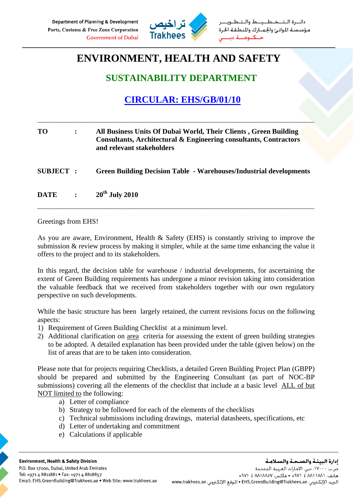

طــيــط والــتـ مؤسستة الموانئ والجمارك والمنطقة الحرة

# **ENVIRONMENT, HEALTH AND SAFETY**

## **SUSTAINABILITY DEPARTMENT**

## **CIRCULAR: EHS/GB/01/10**

| TO               | $\ddot{\cdot}$ | All Business Units Of Dubai World, Their Clients, Green Building<br>Consultants, Architectural & Engineering consultants, Contractors<br>and relevant stakeholders |
|------------------|----------------|--------------------------------------------------------------------------------------------------------------------------------------------------------------------|
| <b>SUBJECT :</b> |                | <b>Green Building Decision Table - Warehouses/Industrial developments</b>                                                                                          |
| <b>DATE</b>      | $\ddot{\cdot}$ | $20th$ July 2010                                                                                                                                                   |

\_\_\_\_\_\_\_\_\_\_\_\_\_\_\_\_\_\_\_\_\_\_\_\_\_\_\_\_\_\_\_\_\_\_\_\_\_\_\_\_\_\_\_\_\_\_\_\_\_\_\_\_\_\_\_\_\_\_\_\_\_\_\_\_\_\_\_\_\_\_\_\_\_\_\_\_\_\_\_\_\_\_\_\_\_

Greetings from EHS!

As you are aware, Environment, Health & Safety (EHS) is constantly striving to improve the submission  $\&$  review process by making it simpler, while at the same time enhancing the value it offers to the project and to its stakeholders.

In this regard, the decision table for warehouse / industrial developments, for ascertaining the extent of Green Building requirements has undergone a minor revision taking into consideration the valuable feedback that we received from stakeholders together with our own regulatory perspective on such developments.

While the basic structure has been largely retained, the current revisions focus on the following aspects:

- 1) Requirement of Green Building Checklist at a minimum level.
- 2) Additional clarification on area criteria for assessing the extent of green building strategies to be adopted. A detailed explanation has been provided under the table (given below) on the list of areas that are to be taken into consideration.

Please note that for projects requiring Checklists, a detailed Green Building Project Plan (GBPP) should be prepared and submitted by the Engineering Consultant (as part of NOC-BP submissions) covering all the elements of the checklist that include at a basic level ALL of but NOT limited to the following:

- a) Letter of compliance
- b) Strategy to be followed for each of the elements of the checklists
- c) Technical submissions including drawings, material datasheets, specifications, etc
- d) Letter of undertaking and commitment
- e) Calculations if applicable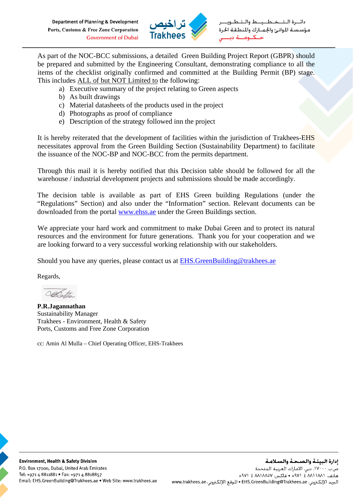Department of Planning & Development Ports, Customs & Free Zone Corporation **Government of Dubai** 



طيط وال مؤسسة الموانئ والجمارك والمنطقة الحرة

As part of the NOC-BCC submissions, a detailed Green Building Project Report (GBPR) should be prepared and submitted by the Engineering Consultant, demonstrating compliance to all the items of the checklist originally confirmed and committed at the Building Permit (BP) stage. This includes ALL of but NOT Limited to the following:

- a) Executive summary of the project relating to Green aspects
- b) As built drawings
- c) Material datasheets of the products used in the project
- d) Photographs as proof of compliance
- e) Description of the strategy followed inn the project

It is hereby reiterated that the development of facilities within the jurisdiction of Trakhees-EHS necessitates approval from the Green Building Section (Sustainability Department) to facilitate the issuance of the NOC-BP and NOC-BCC from the permits department.

Through this mail it is hereby notified that this Decision table should be followed for all the warehouse / industrial development projects and submissions should be made accordingly.

The decision table is available as part of EHS Green building Regulations (under the "Regulations" Section) and also under the "Information" section. Relevant documents can be downloaded from the portal www.ehss.ae under the Green Buildings section.

We appreciate your hard work and commitment to make Dubai Green and to protect its natural resources and the environment for future generations. Thank you for your cooperation and we are looking forward to a very successful working relationship with our stakeholders.

Should you have any queries, please contact us at EHS.GreenBuilding@trakhees.ae

Regards,

Ogo, h

**P.R.Jagannathan**  Sustainability Manager Trakhees - Environment, Health & Safety Ports, Customs and Free Zone Corporation

cc: Amin Al Mulla – Chief Operating Officer, EHS-Trakhees